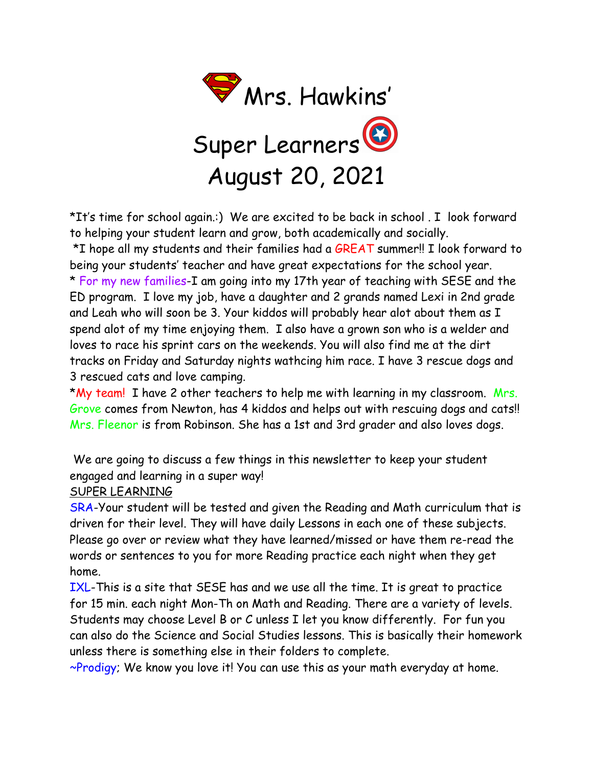

\*It's time for school again.:) We are excited to be back in school . I look forward to helping your student learn and grow, both academically and socially.

\*I hope all my students and their families had a GREAT summer!! I look forward to being your students' teacher and have great expectations for the school year. \* For my new families-I am going into my 17th year of teaching with SESE and the ED program. I love my job, have a daughter and 2 grands named Lexi in 2nd grade and Leah who will soon be 3. Your kiddos will probably hear alot about them as I spend alot of my time enjoying them. I also have a grown son who is a welder and loves to race his sprint cars on the weekends. You will also find me at the dirt tracks on Friday and Saturday nights wathcing him race. I have 3 rescue dogs and 3 rescued cats and love camping.

\*My team! I have 2 other teachers to help me with learning in my classroom. Mrs. Grove comes from Newton, has 4 kiddos and helps out with rescuing dogs and cats!! Mrs. Fleenor is from Robinson. She has a 1st and 3rd grader and also loves dogs.

We are going to discuss a few things in this newsletter to keep your student engaged and learning in a super way!

SUPER LEARNING

SRA-Your student will be tested and given the Reading and Math curriculum that is driven for their level. They will have daily Lessons in each one of these subjects. Please go over or review what they have learned/missed or have them re-read the words or sentences to you for more Reading practice each night when they get home.

IXL-This is a site that SESE has and we use all the time. It is great to practice for 15 min. each night Mon-Th on Math and Reading. There are a variety of levels. Students may choose Level B or C unless I let you know differently. For fun you can also do the Science and Social Studies lessons. This is basically their homework unless there is something else in their folders to complete.

~Prodigy; We know you love it! You can use this as your math everyday at home.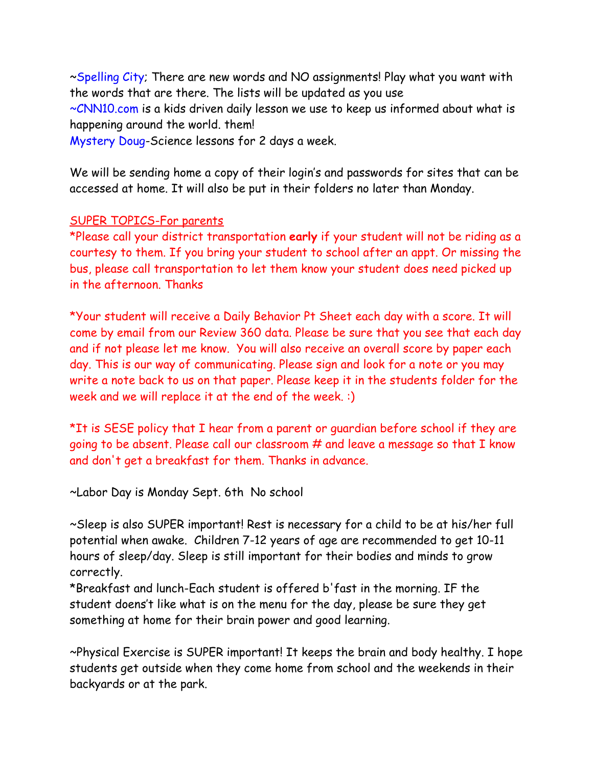~Spelling City; There are new words and NO assignments! Play what you want with the words that are there. The lists will be updated as you use ~CNN10.com is a kids driven daily lesson we use to keep us informed about what is

happening around the world. them!

Mystery Doug-Science lessons for 2 days a week.

We will be sending home a copy of their login's and passwords for sites that can be accessed at home. It will also be put in their folders no later than Monday.

## SUPER TOPICS-For parents

\*Please call your district transportation **early** if your student will not be riding as a courtesy to them. If you bring your student to school after an appt. Or missing the bus, please call transportation to let them know your student does need picked up in the afternoon. Thanks

\*Your student will receive a Daily Behavior Pt Sheet each day with a score. It will come by email from our Review 360 data. Please be sure that you see that each day and if not please let me know. You will also receive an overall score by paper each day. This is our way of communicating. Please sign and look for a note or you may write a note back to us on that paper. Please keep it in the students folder for the week and we will replace it at the end of the week. :)

\*It is SESE policy that I hear from a parent or guardian before school if they are going to be absent. Please call our classroom # and leave a message so that I know and don't get a breakfast for them. Thanks in advance.

~Labor Day is Monday Sept. 6th No school

~Sleep is also SUPER important! Rest is necessary for a child to be at his/her full potential when awake. Children 7-12 years of age are recommended to get 10-11 hours of sleep/day. Sleep is still important for their bodies and minds to grow correctly.

\*Breakfast and lunch-Each student is offered b'fast in the morning. IF the student doens't like what is on the menu for the day, please be sure they get something at home for their brain power and good learning.

~Physical Exercise is SUPER important! It keeps the brain and body healthy. I hope students get outside when they come home from school and the weekends in their backyards or at the park.